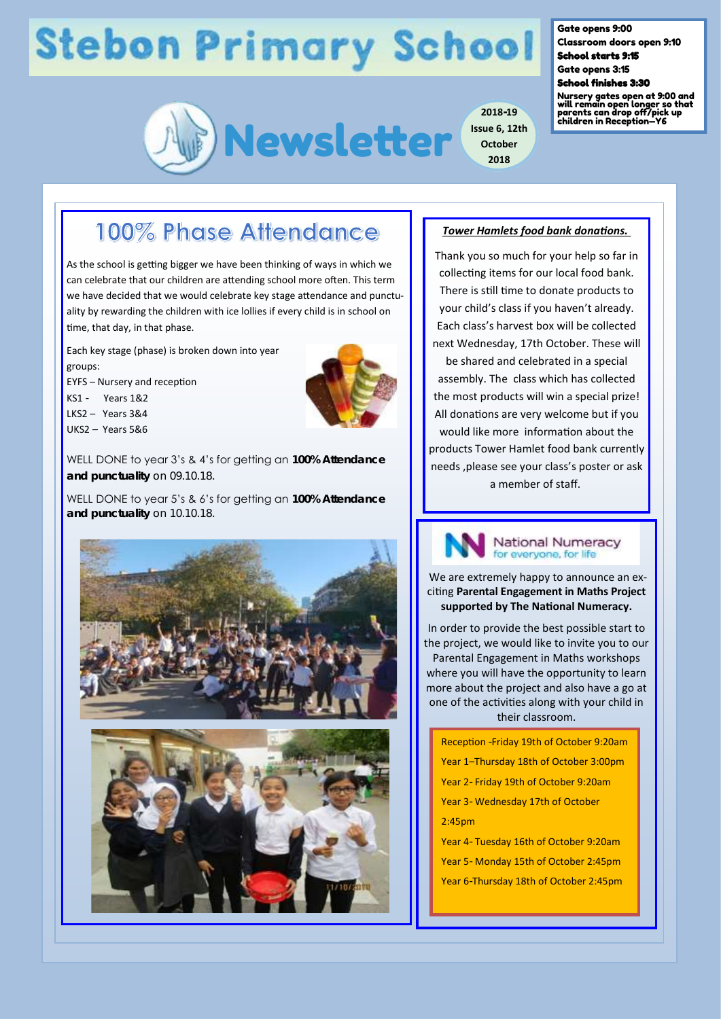# **Stebon Primary School**



School starts 9:15 Gate opens 3:15 School finishes 3:30

Gate opens 9:00

Nursery gates open at 9:00 and will remain open longer so that parents can drop off/pick up children in Reception—Y6

Classroom doors open 9:10

## 100% Phase Attendance

As the school is getting bigger we have been thinking of ways in which we can celebrate that our children are attending school more often. This term we have decided that we would celebrate key stage attendance and punctuality by rewarding the children with ice lollies if every child is in school on time, that day, in that phase.

Each key stage (phase) is broken down into year groups:

EYFS – Nursery and reception

KS1 - Years 1&2 LKS2 – Years 3&4



WELL DONE to year 3's & 4's for getting an **100% Attendance and punctuality** on 09.10.18.

WELL DONE to year 5's & 6's for getting an **100% Attendance and punctuality** on 10.10.18.



#### *Tower Hamlets food bank donations.*

**2018**

Thank you so much for your help so far in collecting items for our local food bank. There is still time to donate products to your child's class if you haven't already. Each class's harvest box will be collected next Wednesday, 17th October. These will

be shared and celebrated in a special assembly. The class which has collected the most products will win a special prize! All donations are very welcome but if you would like more information about the products Tower Hamlet food bank currently needs ,please see your class's poster or ask a member of staff.



We are extremely happy to announce an exciting **Parental Engagement in Maths Project supported by The National Numeracy.**

In order to provide the best possible start to the project, we would like to invite you to our Parental Engagement in Maths workshops where you will have the opportunity to learn more about the project and also have a go at one of the activities along with your child in their classroom.

Reception -Friday 19th of October 9:20am

Year 1–Thursday 18th of October 3:00pm

Year 2- Friday 19th of October 9:20am Year 3- Wednesday 17th of October

2:45pm

Year 4- Tuesday 16th of October 9:20am

Year 5- Monday 15th of October 2:45pm

Year 6-Thursday 18th of October 2:45pm